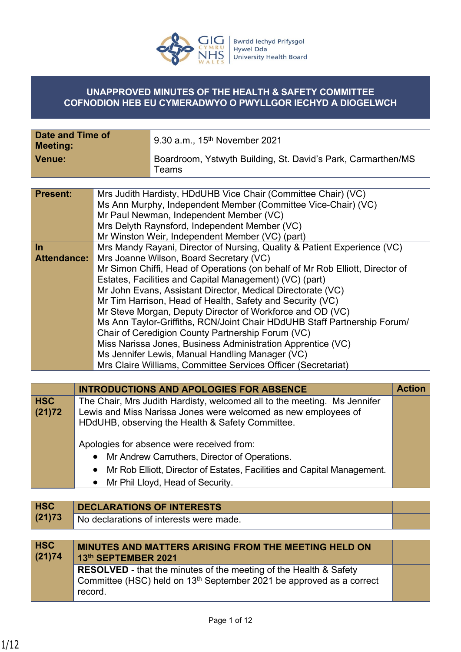

#### **UNAPPROVED MINUTES OF THE HEALTH & SAFETY COMMITTEE COFNODION HEB EU CYMERADWYO O PWYLLGOR IECHYD A DIOGELWCH**

| Date and Time of<br><b>Meeting:</b> | $^{\shortmid}$ 9.30 a.m., 15 <sup>th</sup> November 2021                    |
|-------------------------------------|-----------------------------------------------------------------------------|
| Venue:                              | Boardroom, Ystwyth Building, St. David's Park, Carmarthen/MS<br>$\tau$ eams |

| <b>Present:</b>    | Mrs Judith Hardisty, HDdUHB Vice Chair (Committee Chair) (VC)                 |
|--------------------|-------------------------------------------------------------------------------|
|                    | Ms Ann Murphy, Independent Member (Committee Vice-Chair) (VC)                 |
|                    | Mr Paul Newman, Independent Member (VC)                                       |
|                    | Mrs Delyth Raynsford, Independent Member (VC)                                 |
|                    | Mr Winston Weir, Independent Member (VC) (part)                               |
| <u>In</u>          | Mrs Mandy Rayani, Director of Nursing, Quality & Patient Experience (VC)      |
| <b>Attendance:</b> | Mrs Joanne Wilson, Board Secretary (VC)                                       |
|                    | Mr Simon Chiffi, Head of Operations (on behalf of Mr Rob Elliott, Director of |
|                    | Estates, Facilities and Capital Management) (VC) (part)                       |
|                    | Mr John Evans, Assistant Director, Medical Directorate (VC)                   |
|                    | Mr Tim Harrison, Head of Health, Safety and Security (VC)                     |
|                    | Mr Steve Morgan, Deputy Director of Workforce and OD (VC)                     |
|                    | Ms Ann Taylor-Griffiths, RCN/Joint Chair HDdUHB Staff Partnership Forum/      |
|                    | Chair of Ceredigion County Partnership Forum (VC)                             |
|                    | Miss Narissa Jones, Business Administration Apprentice (VC)                   |
|                    | Ms Jennifer Lewis, Manual Handling Manager (VC)                               |
|                    | Mrs Claire Williams, Committee Services Officer (Secretariat)                 |

|                      | <b>INTRODUCTIONS AND APOLOGIES FOR ABSENCE</b>                                                                                                                                                 | <b>Action</b> |
|----------------------|------------------------------------------------------------------------------------------------------------------------------------------------------------------------------------------------|---------------|
| <b>HSC</b><br>(21)72 | The Chair, Mrs Judith Hardisty, welcomed all to the meeting. Ms Jennifer<br>Lewis and Miss Narissa Jones were welcomed as new employees of<br>HDdUHB, observing the Health & Safety Committee. |               |
|                      | Apologies for absence were received from:                                                                                                                                                      |               |
|                      | • Mr Andrew Carruthers, Director of Operations.                                                                                                                                                |               |
|                      | Mr Rob Elliott, Director of Estates, Facilities and Capital Management.<br>$\bullet$                                                                                                           |               |
|                      | Mr Phil Lloyd, Head of Security.<br>$\bullet$                                                                                                                                                  |               |

| <b>HSC</b>           | <b>DECLARATIONS OF INTERESTS</b>                                                                                                                             |  |
|----------------------|--------------------------------------------------------------------------------------------------------------------------------------------------------------|--|
| (21)73               | No declarations of interests were made.                                                                                                                      |  |
|                      |                                                                                                                                                              |  |
| <b>HSC</b><br>(21)74 | <b>MINUTES AND MATTERS ARISING FROM THE MEETING HELD ON</b><br>13th SEPTEMBER 2021                                                                           |  |
|                      | <b>RESOLVED</b> - that the minutes of the meeting of the Health & Safety<br>Committee (HSC) held on 13 <sup>th</sup> September 2021 be approved as a correct |  |

record.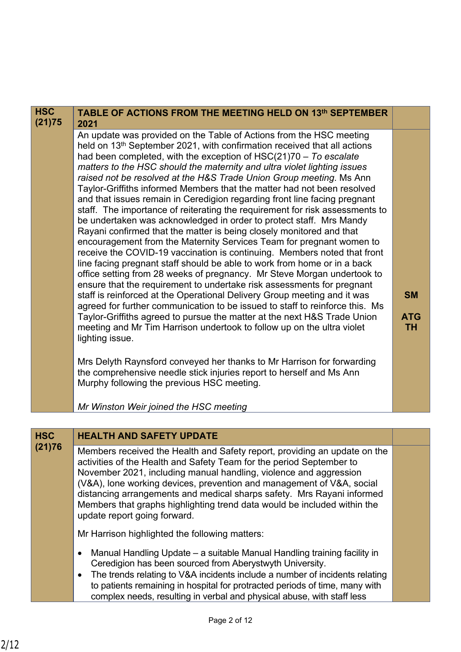| <b>HSC</b><br>(21)75 | TABLE OF ACTIONS FROM THE MEETING HELD ON 13th SEPTEMBER<br>2021                                                                                                                                                                                                                                                                                                                                                                                                                                                                                                                                                                                                                                                                                                                                                                                                                                                                                                                                                                                                                                                                                                                                                                                                                                                                                                                                                                                                                                                                                                                                                                                                                                                                                 |                                      |
|----------------------|--------------------------------------------------------------------------------------------------------------------------------------------------------------------------------------------------------------------------------------------------------------------------------------------------------------------------------------------------------------------------------------------------------------------------------------------------------------------------------------------------------------------------------------------------------------------------------------------------------------------------------------------------------------------------------------------------------------------------------------------------------------------------------------------------------------------------------------------------------------------------------------------------------------------------------------------------------------------------------------------------------------------------------------------------------------------------------------------------------------------------------------------------------------------------------------------------------------------------------------------------------------------------------------------------------------------------------------------------------------------------------------------------------------------------------------------------------------------------------------------------------------------------------------------------------------------------------------------------------------------------------------------------------------------------------------------------------------------------------------------------|--------------------------------------|
|                      | An update was provided on the Table of Actions from the HSC meeting<br>held on 13 <sup>th</sup> September 2021, with confirmation received that all actions<br>had been completed, with the exception of $HSC(21)70 - To evaluate$<br>matters to the HSC should the maternity and ultra violet lighting issues<br>raised not be resolved at the H&S Trade Union Group meeting. Ms Ann<br>Taylor-Griffiths informed Members that the matter had not been resolved<br>and that issues remain in Ceredigion regarding front line facing pregnant<br>staff. The importance of reiterating the requirement for risk assessments to<br>be undertaken was acknowledged in order to protect staff. Mrs Mandy<br>Rayani confirmed that the matter is being closely monitored and that<br>encouragement from the Maternity Services Team for pregnant women to<br>receive the COVID-19 vaccination is continuing. Members noted that front<br>line facing pregnant staff should be able to work from home or in a back<br>office setting from 28 weeks of pregnancy. Mr Steve Morgan undertook to<br>ensure that the requirement to undertake risk assessments for pregnant<br>staff is reinforced at the Operational Delivery Group meeting and it was<br>agreed for further communication to be issued to staff to reinforce this. Ms<br>Taylor-Griffiths agreed to pursue the matter at the next H&S Trade Union<br>meeting and Mr Tim Harrison undertook to follow up on the ultra violet<br>lighting issue.<br>Mrs Delyth Raynsford conveyed her thanks to Mr Harrison for forwarding<br>the comprehensive needle stick injuries report to herself and Ms Ann<br>Murphy following the previous HSC meeting.<br>Mr Winston Weir joined the HSC meeting | <b>SM</b><br><b>ATG</b><br><b>TH</b> |

### **HSC HEALTH AND SAFETY UPDATE**

**(21)76** Members received the Health and Safety report, providing an update on the activities of the Health and Safety Team for the period September to November 2021, including manual handling, violence and aggression (V&A), lone working devices, prevention and management of V&A, social distancing arrangements and medical sharps safety. Mrs Rayani informed Members that graphs highlighting trend data would be included within the update report going forward.

Mr Harrison highlighted the following matters:

- Manual Handling Update a suitable Manual Handling training facility in Ceredigion has been sourced from Aberystwyth University.
- The trends relating to V&A incidents include a number of incidents relating to patients remaining in hospital for protracted periods of time, many with complex needs, resulting in verbal and physical abuse, with staff less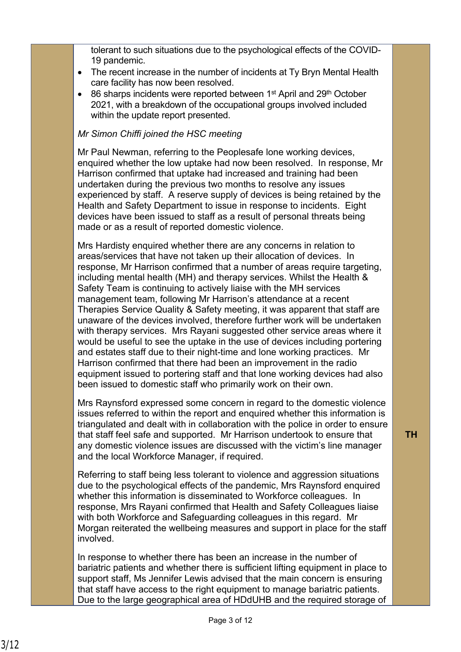tolerant to such situations due to the psychological effects of the COVID-19 pandemic.

- The recent increase in the number of incidents at Ty Bryn Mental Health care facility has now been resolved.
- $\bullet$  86 sharps incidents were reported between 1<sup>st</sup> April and 29<sup>th</sup> October 2021, with a breakdown of the occupational groups involved included within the update report presented.

#### *Mr Simon Chiffi joined the HSC meeting*

Mr Paul Newman, referring to the Peoplesafe lone working devices, enquired whether the low uptake had now been resolved. In response, Mr Harrison confirmed that uptake had increased and training had been undertaken during the previous two months to resolve any issues experienced by staff. A reserve supply of devices is being retained by the Health and Safety Department to issue in response to incidents. Eight devices have been issued to staff as a result of personal threats being made or as a result of reported domestic violence.

Mrs Hardisty enquired whether there are any concerns in relation to areas/services that have not taken up their allocation of devices. In response, Mr Harrison confirmed that a number of areas require targeting, including mental health (MH) and therapy services. Whilst the Health & Safety Team is continuing to actively liaise with the MH services management team, following Mr Harrison's attendance at a recent Therapies Service Quality & Safety meeting, it was apparent that staff are unaware of the devices involved, therefore further work will be undertaken with therapy services. Mrs Rayani suggested other service areas where it would be useful to see the uptake in the use of devices including portering and estates staff due to their night-time and lone working practices. Mr Harrison confirmed that there had been an improvement in the radio equipment issued to portering staff and that lone working devices had also been issued to domestic staff who primarily work on their own.

Mrs Raynsford expressed some concern in regard to the domestic violence issues referred to within the report and enquired whether this information is triangulated and dealt with in collaboration with the police in order to ensure that staff feel safe and supported. Mr Harrison undertook to ensure that any domestic violence issues are discussed with the victim's line manager and the local Workforce Manager, if required.

Referring to staff being less tolerant to violence and aggression situations due to the psychological effects of the pandemic, Mrs Raynsford enquired whether this information is disseminated to Workforce colleagues. In response, Mrs Rayani confirmed that Health and Safety Colleagues liaise with both Workforce and Safeguarding colleagues in this regard. Mr Morgan reiterated the wellbeing measures and support in place for the staff involved.

In response to whether there has been an increase in the number of bariatric patients and whether there is sufficient lifting equipment in place to support staff, Ms Jennifer Lewis advised that the main concern is ensuring that staff have access to the right equipment to manage bariatric patients. Due to the large geographical area of HDdUHB and the required storage of **TH**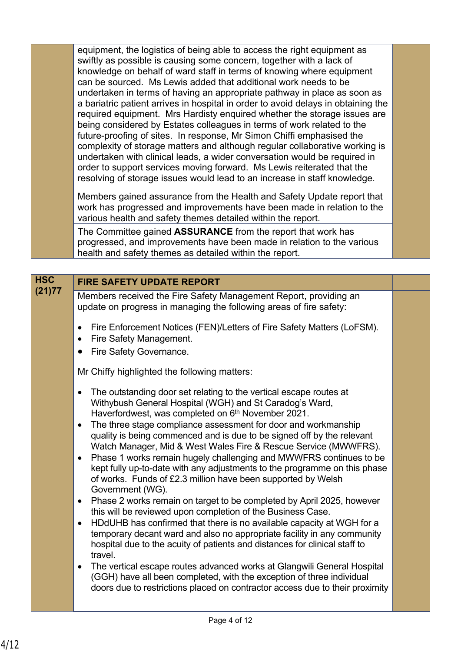equipment, the logistics of being able to access the right equipment as swiftly as possible is causing some concern, together with a lack of knowledge on behalf of ward staff in terms of knowing where equipment can be sourced. Ms Lewis added that additional work needs to be undertaken in terms of having an appropriate pathway in place as soon as a bariatric patient arrives in hospital in order to avoid delays in obtaining the required equipment. Mrs Hardisty enquired whether the storage issues are being considered by Estates colleagues in terms of work related to the future-proofing of sites. In response, Mr Simon Chiffi emphasised the complexity of storage matters and although regular collaborative working is undertaken with clinical leads, a wider conversation would be required in order to support services moving forward. Ms Lewis reiterated that the resolving of storage issues would lead to an increase in staff knowledge.

Members gained assurance from the Health and Safety Update report that work has progressed and improvements have been made in relation to the various health and safety themes detailed within the report.

The Committee gained **ASSURANCE** from the report that work has progressed, and improvements have been made in relation to the various health and safety themes as detailed within the report.

## **HSC FIRE SAFETY UPDATE REPORT**<br>(21)77

**(21)77** Members received the Fire Safety Management Report, providing an update on progress in managing the following areas of fire safety:

- Fire Enforcement Notices (FEN)/Letters of Fire Safety Matters (LoFSM).
- Fire Safety Management.
- Fire Safety Governance.

Mr Chiffy highlighted the following matters:

- The outstanding door set relating to the vertical escape routes at Withybush General Hospital (WGH) and St Caradog's Ward, Haverfordwest, was completed on 6<sup>th</sup> November 2021.
- The three stage compliance assessment for door and workmanship quality is being commenced and is due to be signed off by the relevant Watch Manager, Mid & West Wales Fire & Rescue Service (MWWFRS).
- Phase 1 works remain hugely challenging and MWWFRS continues to be kept fully up-to-date with any adjustments to the programme on this phase of works. Funds of £2.3 million have been supported by Welsh Government (WG).
- Phase 2 works remain on target to be completed by April 2025, however this will be reviewed upon completion of the Business Case.
- HDdUHB has confirmed that there is no available capacity at WGH for a temporary decant ward and also no appropriate facility in any community hospital due to the acuity of patients and distances for clinical staff to travel.
- The vertical escape routes advanced works at Glangwili General Hospital (GGH) have all been completed, with the exception of three individual doors due to restrictions placed on contractor access due to their proximity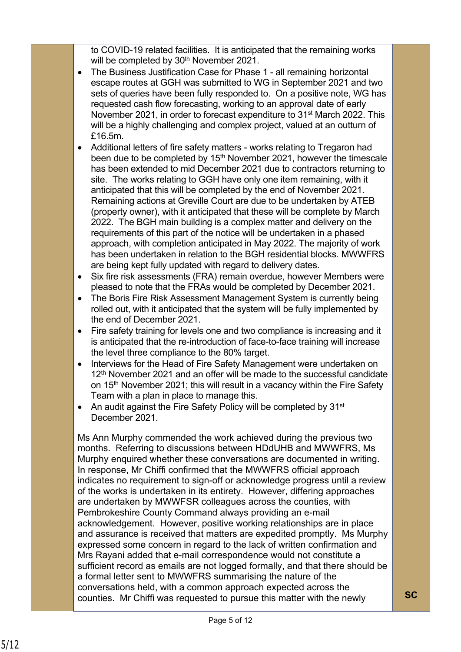to COVID-19 related facilities. It is anticipated that the remaining works will be completed by 30<sup>th</sup> November 2021.

- The Business Justification Case for Phase 1 all remaining horizontal escape routes at GGH was submitted to WG in September 2021 and two sets of queries have been fully responded to. On a positive note, WG has requested cash flow forecasting, working to an approval date of early November 2021, in order to forecast expenditure to 31<sup>st</sup> March 2022. This will be a highly challenging and complex project, valued at an outturn of £16.5m.
- Additional letters of fire safety matters works relating to Tregaron had been due to be completed by 15<sup>th</sup> November 2021, however the timescale has been extended to mid December 2021 due to contractors returning to site. The works relating to GGH have only one item remaining, with it anticipated that this will be completed by the end of November 2021. Remaining actions at Greville Court are due to be undertaken by ATEB (property owner), with it anticipated that these will be complete by March 2022. The BGH main building is a complex matter and delivery on the requirements of this part of the notice will be undertaken in a phased approach, with completion anticipated in May 2022. The majority of work has been undertaken in relation to the BGH residential blocks. MWWFRS are being kept fully updated with regard to delivery dates.
- Six fire risk assessments (FRA) remain overdue, however Members were pleased to note that the FRAs would be completed by December 2021.
- The Boris Fire Risk Assessment Management System is currently being rolled out, with it anticipated that the system will be fully implemented by the end of December 2021.
- Fire safety training for levels one and two compliance is increasing and it is anticipated that the re-introduction of face-to-face training will increase the level three compliance to the 80% target.
- Interviews for the Head of Fire Safety Management were undertaken on 12<sup>th</sup> November 2021 and an offer will be made to the successful candidate on 15<sup>th</sup> November 2021; this will result in a vacancy within the Fire Safety Team with a plan in place to manage this.
- An audit against the Fire Safety Policy will be completed by  $31<sup>st</sup>$ December 2021.

Ms Ann Murphy commended the work achieved during the previous two months. Referring to discussions between HDdUHB and MWWFRS, Ms Murphy enquired whether these conversations are documented in writing. In response, Mr Chiffi confirmed that the MWWFRS official approach indicates no requirement to sign-off or acknowledge progress until a review of the works is undertaken in its entirety. However, differing approaches are undertaken by MWWFSR colleagues across the counties, with Pembrokeshire County Command always providing an e-mail acknowledgement. However, positive working relationships are in place and assurance is received that matters are expedited promptly. Ms Murphy expressed some concern in regard to the lack of written confirmation and Mrs Rayani added that e-mail correspondence would not constitute a sufficient record as emails are not logged formally, and that there should be a formal letter sent to MWWFRS summarising the nature of the conversations held, with a common approach expected across the counties. Mr Chiffi was requested to pursue this matter with the newly **SC**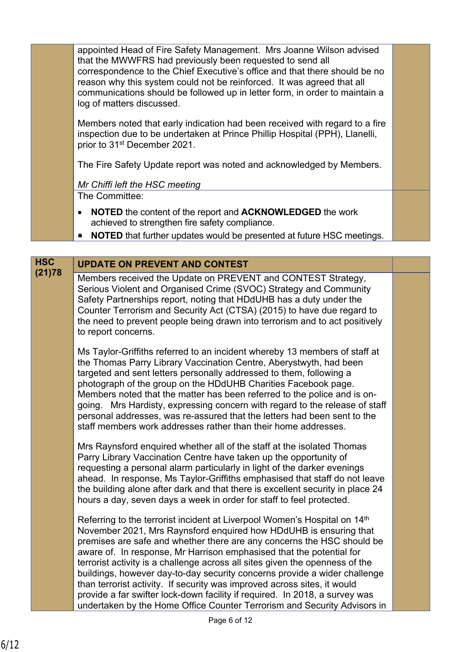appointed Head of Fire Safety Management. Mrs Joanne Wilson advised that the MWWFRS had previously been requested to send all correspondence to the Chief Executive's office and that there should be no reason why this system could not be reinforced. It was agreed that all communications should be followed up in letter form, in order to maintain a log of matters discussed.

Members noted that early indication had been received with regard to a fire inspection due to be undertaken at Prince Phillip Hospital (PPH), Llanelli, prior to 31st December 2021.

The Fire Safety Update report was noted and acknowledged by Members.

#### *Mr Chiffi left the HSC meeting*

The Committee:

- **NOTED** the content of the report and **ACKNOWLEDGED** the work achieved to strengthen fire safety compliance.
- **NOTED** that further updates would be presented at future HSC meetings.

# **HSC UPDATE ON PREVENT AND CONTEST**

**(21)78** Members received the Update on PREVENT and CONTEST Strategy, Serious Violent and Organised Crime (SVOC) Strategy and Community Safety Partnerships report, noting that HDdUHB has a duty under the Counter Terrorism and Security Act (CTSA) (2015) to have due regard to the need to prevent people being drawn into terrorism and to act positively to report concerns.

Ms Taylor-Griffiths referred to an incident whereby 13 members of staff at the Thomas Parry Library Vaccination Centre, Aberystwyth, had been targeted and sent letters personally addressed to them, following a photograph of the group on the HDdUHB Charities Facebook page. Members noted that the matter has been referred to the police and is ongoing. Mrs Hardisty, expressing concern with regard to the release of staff personal addresses, was re-assured that the letters had been sent to the staff members work addresses rather than their home addresses.

Mrs Raynsford enquired whether all of the staff at the isolated Thomas Parry Library Vaccination Centre have taken up the opportunity of requesting a personal alarm particularly in light of the darker evenings ahead. In response, Ms Taylor-Griffiths emphasised that staff do not leave the building alone after dark and that there is excellent security in place 24 hours a day, seven days a week in order for staff to feel protected.

Referring to the terrorist incident at Liverpool Women's Hospital on 14<sup>th</sup> November 2021, Mrs Raynsford enquired how HDdUHB is ensuring that premises are safe and whether there are any concerns the HSC should be aware of. In response, Mr Harrison emphasised that the potential for terrorist activity is a challenge across all sites given the openness of the buildings, however day-to-day security concerns provide a wider challenge than terrorist activity. If security was improved across sites, it would provide a far swifter lock-down facility if required. In 2018, a survey was undertaken by the Home Office Counter Terrorism and Security Advisors in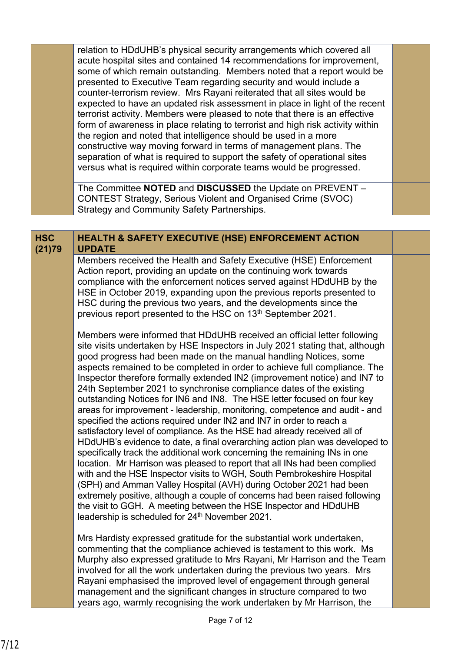relation to HDdUHB's physical security arrangements which covered all acute hospital sites and contained 14 recommendations for improvement, some of which remain outstanding. Members noted that a report would be presented to Executive Team regarding security and would include a counter-terrorism review. Mrs Rayani reiterated that all sites would be expected to have an updated risk assessment in place in light of the recent terrorist activity. Members were pleased to note that there is an effective form of awareness in place relating to terrorist and high risk activity within the region and noted that intelligence should be used in a more constructive way moving forward in terms of management plans. The separation of what is required to support the safety of operational sites versus what is required within corporate teams would be progressed.

The Committee **NOTED** and **DISCUSSED** the Update on PREVENT – CONTEST Strategy, Serious Violent and Organised Crime (SVOC) Strategy and Community Safety Partnerships.

#### **HEALTH & SAFETY EXECUTIVE (HSE) ENFORCEMENT ACTION UPDATE HSC (21)79**

Members received the Health and Safety Executive (HSE) Enforcement Action report, providing an update on the continuing work towards compliance with the enforcement notices served against HDdUHB by the HSE in October 2019, expanding upon the previous reports presented to HSC during the previous two years, and the developments since the previous report presented to the HSC on 13<sup>th</sup> September 2021.

Members were informed that HDdUHB received an official letter following site visits undertaken by HSE Inspectors in July 2021 stating that, although good progress had been made on the manual handling Notices, some aspects remained to be completed in order to achieve full compliance. The Inspector therefore formally extended IN2 (improvement notice) and IN7 to 24th September 2021 to synchronise compliance dates of the existing outstanding Notices for IN6 and IN8. The HSE letter focused on four key areas for improvement - leadership, monitoring, competence and audit - and specified the actions required under IN2 and IN7 in order to reach a satisfactory level of compliance. As the HSE had already received all of HDdUHB's evidence to date, a final overarching action plan was developed to specifically track the additional work concerning the remaining INs in one location. Mr Harrison was pleased to report that all INs had been complied with and the HSE Inspector visits to WGH, South Pembrokeshire Hospital (SPH) and Amman Valley Hospital (AVH) during October 2021 had been extremely positive, although a couple of concerns had been raised following the visit to GGH. A meeting between the HSE Inspector and HDdUHB leadership is scheduled for 24<sup>th</sup> November 2021.

Mrs Hardisty expressed gratitude for the substantial work undertaken, commenting that the compliance achieved is testament to this work. Ms Murphy also expressed gratitude to Mrs Rayani, Mr Harrison and the Team involved for all the work undertaken during the previous two years. Mrs Rayani emphasised the improved level of engagement through general management and the significant changes in structure compared to two years ago, warmly recognising the work undertaken by Mr Harrison, the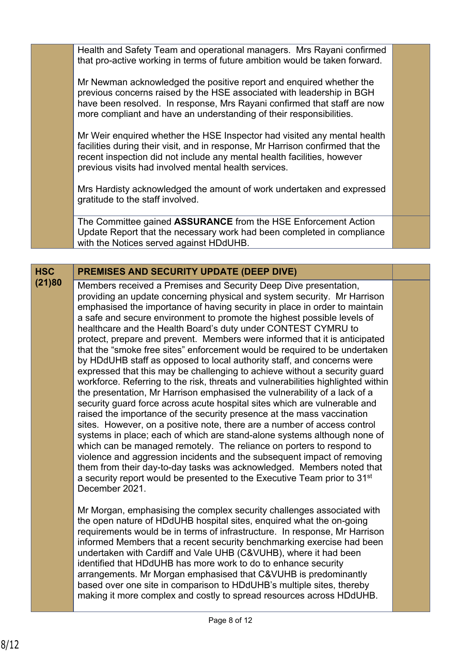Health and Safety Team and operational managers. Mrs Rayani confirmed that pro-active working in terms of future ambition would be taken forward.

Mr Newman acknowledged the positive report and enquired whether the previous concerns raised by the HSE associated with leadership in BGH have been resolved. In response, Mrs Rayani confirmed that staff are now more compliant and have an understanding of their responsibilities.

Mr Weir enquired whether the HSE Inspector had visited any mental health facilities during their visit, and in response, Mr Harrison confirmed that the recent inspection did not include any mental health facilities, however previous visits had involved mental health services.

Mrs Hardisty acknowledged the amount of work undertaken and expressed gratitude to the staff involved.

The Committee gained **ASSURANCE** from the HSE Enforcement Action Update Report that the necessary work had been completed in compliance with the Notices served against HDdUHB.

### **HSC PREMISES AND SECURITY UPDATE (DEEP DIVE)**

**(21)80** Members received a Premises and Security Deep Dive presentation, providing an update concerning physical and system security. Mr Harrison emphasised the importance of having security in place in order to maintain a safe and secure environment to promote the highest possible levels of healthcare and the Health Board's duty under CONTEST CYMRU to protect, prepare and prevent. Members were informed that it is anticipated that the "smoke free sites" enforcement would be required to be undertaken by HDdUHB staff as opposed to local authority staff, and concerns were expressed that this may be challenging to achieve without a security guard workforce. Referring to the risk, threats and vulnerabilities highlighted within the presentation, Mr Harrison emphasised the vulnerability of a lack of a security guard force across acute hospital sites which are vulnerable and raised the importance of the security presence at the mass vaccination sites. However, on a positive note, there are a number of access control systems in place; each of which are stand-alone systems although none of which can be managed remotely. The reliance on porters to respond to violence and aggression incidents and the subsequent impact of removing them from their day-to-day tasks was acknowledged. Members noted that a security report would be presented to the Executive Team prior to 31st December 2021.

> Mr Morgan, emphasising the complex security challenges associated with the open nature of HDdUHB hospital sites, enquired what the on-going requirements would be in terms of infrastructure. In response, Mr Harrison informed Members that a recent security benchmarking exercise had been undertaken with Cardiff and Vale UHB (C&VUHB), where it had been identified that HDdUHB has more work to do to enhance security arrangements. Mr Morgan emphasised that C&VUHB is predominantly based over one site in comparison to HDdUHB's multiple sites, thereby making it more complex and costly to spread resources across HDdUHB.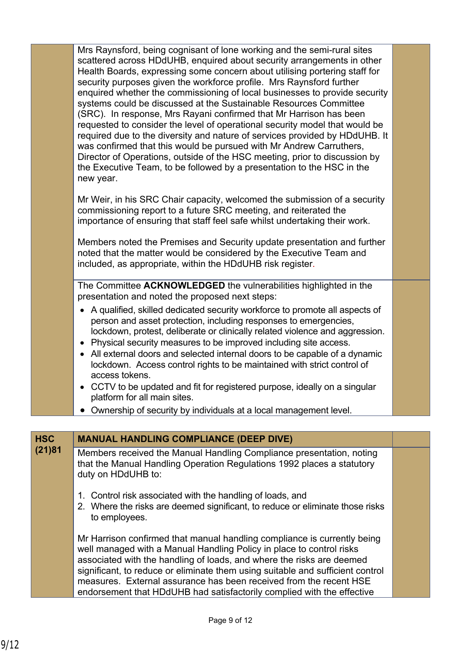|                      | Mrs Raynsford, being cognisant of lone working and the semi-rural sites<br>scattered across HDdUHB, enquired about security arrangements in other<br>Health Boards, expressing some concern about utilising portering staff for<br>security purposes given the workforce profile. Mrs Raynsford further<br>enquired whether the commissioning of local businesses to provide security<br>systems could be discussed at the Sustainable Resources Committee<br>(SRC). In response, Mrs Rayani confirmed that Mr Harrison has been<br>requested to consider the level of operational security model that would be<br>required due to the diversity and nature of services provided by HDdUHB. It<br>was confirmed that this would be pursued with Mr Andrew Carruthers,<br>Director of Operations, outside of the HSC meeting, prior to discussion by<br>the Executive Team, to be followed by a presentation to the HSC in the<br>new year. |  |
|----------------------|--------------------------------------------------------------------------------------------------------------------------------------------------------------------------------------------------------------------------------------------------------------------------------------------------------------------------------------------------------------------------------------------------------------------------------------------------------------------------------------------------------------------------------------------------------------------------------------------------------------------------------------------------------------------------------------------------------------------------------------------------------------------------------------------------------------------------------------------------------------------------------------------------------------------------------------------|--|
|                      | Mr Weir, in his SRC Chair capacity, welcomed the submission of a security<br>commissioning report to a future SRC meeting, and reiterated the<br>importance of ensuring that staff feel safe whilst undertaking their work.                                                                                                                                                                                                                                                                                                                                                                                                                                                                                                                                                                                                                                                                                                                |  |
|                      | Members noted the Premises and Security update presentation and further<br>noted that the matter would be considered by the Executive Team and<br>included, as appropriate, within the HDdUHB risk register.                                                                                                                                                                                                                                                                                                                                                                                                                                                                                                                                                                                                                                                                                                                               |  |
|                      | The Committee ACKNOWLEDGED the vulnerabilities highlighted in the<br>presentation and noted the proposed next steps:                                                                                                                                                                                                                                                                                                                                                                                                                                                                                                                                                                                                                                                                                                                                                                                                                       |  |
|                      | • A qualified, skilled dedicated security workforce to promote all aspects of<br>person and asset protection, including responses to emergencies,<br>lockdown, protest, deliberate or clinically related violence and aggression.<br>• Physical security measures to be improved including site access.<br>• All external doors and selected internal doors to be capable of a dynamic<br>lockdown. Access control rights to be maintained with strict control of<br>access tokens.                                                                                                                                                                                                                                                                                                                                                                                                                                                        |  |
|                      | • CCTV to be updated and fit for registered purpose, ideally on a singular<br>platform for all main sites.                                                                                                                                                                                                                                                                                                                                                                                                                                                                                                                                                                                                                                                                                                                                                                                                                                 |  |
|                      | Ownership of security by individuals at a local management level.                                                                                                                                                                                                                                                                                                                                                                                                                                                                                                                                                                                                                                                                                                                                                                                                                                                                          |  |
|                      |                                                                                                                                                                                                                                                                                                                                                                                                                                                                                                                                                                                                                                                                                                                                                                                                                                                                                                                                            |  |
| <b>HSC</b><br>(21)81 | <b>MANUAL HANDLING COMPLIANCE (DEEP DIVE)</b>                                                                                                                                                                                                                                                                                                                                                                                                                                                                                                                                                                                                                                                                                                                                                                                                                                                                                              |  |
|                      | Members received the Manual Handling Compliance presentation, noting<br>that the Manual Handling Operation Regulations 1992 places a statutory<br>duty on HDdUHB to:                                                                                                                                                                                                                                                                                                                                                                                                                                                                                                                                                                                                                                                                                                                                                                       |  |
|                      | 1. Control risk associated with the handling of loads, and<br>2. Where the risks are deemed significant, to reduce or eliminate those risks<br>to employees.                                                                                                                                                                                                                                                                                                                                                                                                                                                                                                                                                                                                                                                                                                                                                                               |  |
|                      | Mr Harrison confirmed that manual handling compliance is currently being<br>well managed with a Manual Handling Policy in place to control risks<br>associated with the handling of loads, and where the risks are deemed<br>significant, to reduce or eliminate them using suitable and sufficient control<br>measures. External assurance has been received from the recent HSE<br>endorsement that HDdUHB had satisfactorily complied with the effective                                                                                                                                                                                                                                                                                                                                                                                                                                                                                |  |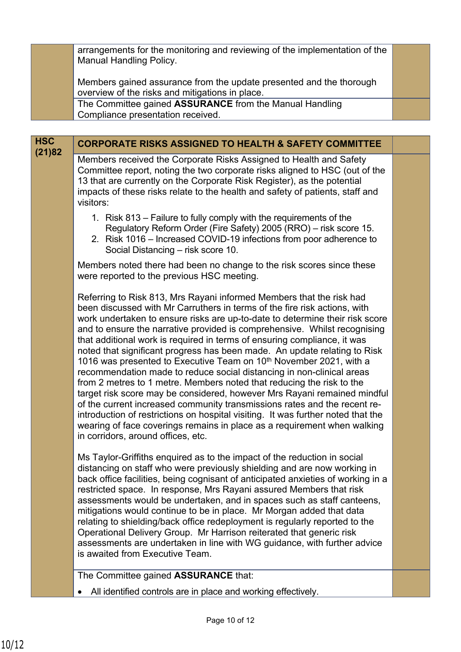arrangements for the monitoring and reviewing of the implementation of the Manual Handling Policy.

Members gained assurance from the update presented and the thorough overview of the risks and mitigations in place.

The Committee gained **ASSURANCE** from the Manual Handling Compliance presentation received.

| <b>HSC</b><br>(21)82 | <b>CORPORATE RISKS ASSIGNED TO HEALTH &amp; SAFETY COMMITTEE</b>                                                                                                                                                                                                                                                                                                                                                                                                                                                                                                                                                                                                                                                                                                                                                                                                                                                                                                                                                                                                           |  |
|----------------------|----------------------------------------------------------------------------------------------------------------------------------------------------------------------------------------------------------------------------------------------------------------------------------------------------------------------------------------------------------------------------------------------------------------------------------------------------------------------------------------------------------------------------------------------------------------------------------------------------------------------------------------------------------------------------------------------------------------------------------------------------------------------------------------------------------------------------------------------------------------------------------------------------------------------------------------------------------------------------------------------------------------------------------------------------------------------------|--|
|                      | Members received the Corporate Risks Assigned to Health and Safety<br>Committee report, noting the two corporate risks aligned to HSC (out of the<br>13 that are currently on the Corporate Risk Register), as the potential<br>impacts of these risks relate to the health and safety of patients, staff and<br>visitors:                                                                                                                                                                                                                                                                                                                                                                                                                                                                                                                                                                                                                                                                                                                                                 |  |
|                      | 1. Risk 813 – Failure to fully comply with the requirements of the<br>Regulatory Reform Order (Fire Safety) 2005 (RRO) - risk score 15.<br>2. Risk 1016 – Increased COVID-19 infections from poor adherence to<br>Social Distancing - risk score 10.                                                                                                                                                                                                                                                                                                                                                                                                                                                                                                                                                                                                                                                                                                                                                                                                                       |  |
|                      | Members noted there had been no change to the risk scores since these<br>were reported to the previous HSC meeting.                                                                                                                                                                                                                                                                                                                                                                                                                                                                                                                                                                                                                                                                                                                                                                                                                                                                                                                                                        |  |
|                      | Referring to Risk 813, Mrs Rayani informed Members that the risk had<br>been discussed with Mr Carruthers in terms of the fire risk actions, with<br>work undertaken to ensure risks are up-to-date to determine their risk score<br>and to ensure the narrative provided is comprehensive. Whilst recognising<br>that additional work is required in terms of ensuring compliance, it was<br>noted that significant progress has been made. An update relating to Risk<br>1016 was presented to Executive Team on 10 <sup>th</sup> November 2021, with a<br>recommendation made to reduce social distancing in non-clinical areas<br>from 2 metres to 1 metre. Members noted that reducing the risk to the<br>target risk score may be considered, however Mrs Rayani remained mindful<br>of the current increased community transmissions rates and the recent re-<br>introduction of restrictions on hospital visiting. It was further noted that the<br>wearing of face coverings remains in place as a requirement when walking<br>in corridors, around offices, etc. |  |
|                      | Ms Taylor-Griffiths enquired as to the impact of the reduction in social<br>distancing on staff who were previously shielding and are now working in<br>back office facilities, being cognisant of anticipated anxieties of working in a<br>restricted space. In response, Mrs Rayani assured Members that risk<br>assessments would be undertaken, and in spaces such as staff canteens,<br>mitigations would continue to be in place. Mr Morgan added that data<br>relating to shielding/back office redeployment is regularly reported to the<br>Operational Delivery Group. Mr Harrison reiterated that generic risk<br>assessments are undertaken in line with WG guidance, with further advice<br>is awaited from Executive Team.                                                                                                                                                                                                                                                                                                                                    |  |
|                      | The Committee gained ASSURANCE that:                                                                                                                                                                                                                                                                                                                                                                                                                                                                                                                                                                                                                                                                                                                                                                                                                                                                                                                                                                                                                                       |  |

All identified controls are in place and working effectively.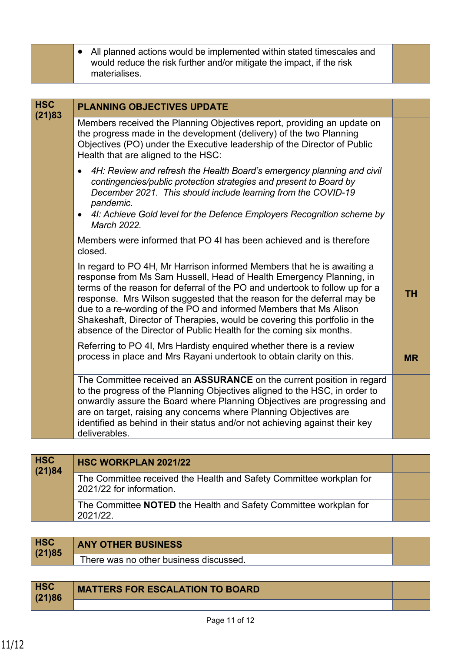| • All planned actions would be implemented within stated timescales and |
|-------------------------------------------------------------------------|
| would reduce the risk further and/or mitigate the impact, if the risk   |
| materialises.                                                           |

| <b>HSC</b><br>(21)83 | <b>PLANNING OBJECTIVES UPDATE</b>                                                                                                                                                                                                                                                                                                                                                                                                                                                                                                |           |
|----------------------|----------------------------------------------------------------------------------------------------------------------------------------------------------------------------------------------------------------------------------------------------------------------------------------------------------------------------------------------------------------------------------------------------------------------------------------------------------------------------------------------------------------------------------|-----------|
|                      | Members received the Planning Objectives report, providing an update on<br>the progress made in the development (delivery) of the two Planning<br>Objectives (PO) under the Executive leadership of the Director of Public<br>Health that are aligned to the HSC:                                                                                                                                                                                                                                                                |           |
|                      | 4H: Review and refresh the Health Board's emergency planning and civil<br>contingencies/public protection strategies and present to Board by<br>December 2021. This should include learning from the COVID-19<br>pandemic.                                                                                                                                                                                                                                                                                                       |           |
|                      | 41: Achieve Gold level for the Defence Employers Recognition scheme by<br>March 2022.                                                                                                                                                                                                                                                                                                                                                                                                                                            |           |
|                      | Members were informed that PO 4I has been achieved and is therefore<br>closed.                                                                                                                                                                                                                                                                                                                                                                                                                                                   |           |
|                      | In regard to PO 4H, Mr Harrison informed Members that he is awaiting a<br>response from Ms Sam Hussell, Head of Health Emergency Planning, in<br>terms of the reason for deferral of the PO and undertook to follow up for a<br>response. Mrs Wilson suggested that the reason for the deferral may be<br>due to a re-wording of the PO and informed Members that Ms Alison<br>Shakeshaft, Director of Therapies, would be covering this portfolio in the<br>absence of the Director of Public Health for the coming six months. | <b>TH</b> |
|                      | Referring to PO 4I, Mrs Hardisty enquired whether there is a review<br>process in place and Mrs Rayani undertook to obtain clarity on this.                                                                                                                                                                                                                                                                                                                                                                                      | <b>MR</b> |
|                      | The Committee received an ASSURANCE on the current position in regard<br>to the progress of the Planning Objectives aligned to the HSC, in order to<br>onwardly assure the Board where Planning Objectives are progressing and<br>are on target, raising any concerns where Planning Objectives are<br>identified as behind in their status and/or not achieving against their key<br>deliverables.                                                                                                                              |           |

| <b>HSC</b><br>(21)84 | <b>HSC WORKPLAN 2021/22</b>                                                                     |  |
|----------------------|-------------------------------------------------------------------------------------------------|--|
|                      | The Committee received the Health and Safety Committee workplan for<br>2021/22 for information. |  |
|                      | The Committee <b>NOTED</b> the Health and Safety Committee workplan for<br>2021/22.             |  |

| <b>HSC</b><br>(21)85 | <b>ANY OTHER BUSINESS</b>              |  |
|----------------------|----------------------------------------|--|
|                      | There was no other business discussed. |  |
|                      |                                        |  |

| <b>HSC</b><br>(21)86 | <b>MATTERS FOR ESCALATION TO BOARD</b> |  |
|----------------------|----------------------------------------|--|
|                      |                                        |  |